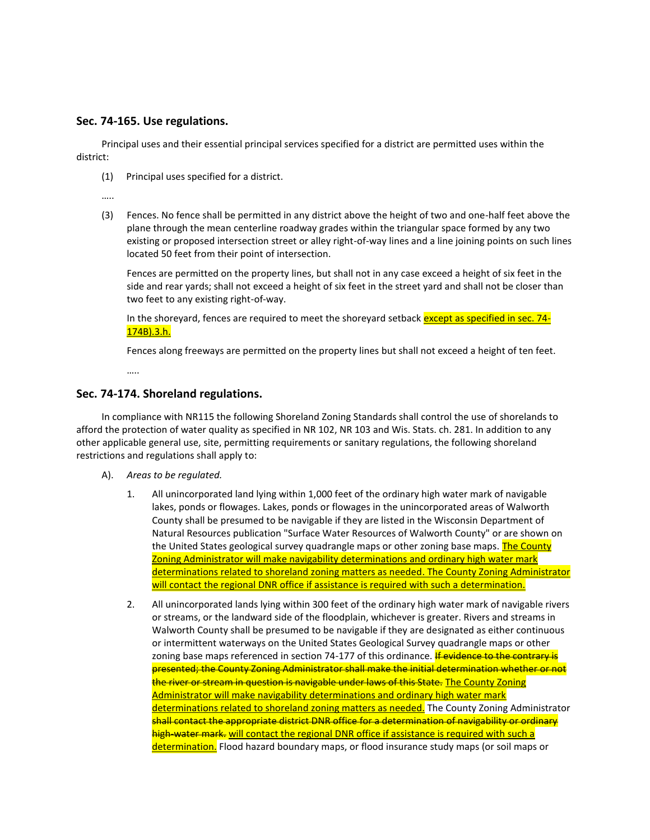## **Sec. 74-165. Use regulations.**

Principal uses and their essential principal services specified for a district are permitted uses within the district:

(1) Principal uses specified for a district.

…..

(3) Fences. No fence shall be permitted in any district above the height of two and one-half feet above the plane through the mean centerline roadway grades within the triangular space formed by any two existing or proposed intersection street or alley right-of-way lines and a line joining points on such lines located 50 feet from their point of intersection.

Fences are permitted on the property lines, but shall not in any case exceed a height of six feet in the side and rear yards; shall not exceed a height of six feet in the street yard and shall not be closer than two feet to any existing right-of-way.

In the shoreyard, fences are required to meet the shoreyard setback except as specified in sec. 74-174B).3.h.

Fences along freeways are permitted on the property lines but shall not exceed a height of ten feet.

…..

## **Sec. 74-174. Shoreland regulations.**

In compliance with NR115 the following Shoreland Zoning Standards shall control the use of shorelands to afford the protection of water quality as specified in NR 102, NR 103 and Wis. Stats. ch. 281. In addition to any other applicable general use, site, permitting requirements or sanitary regulations, the following shoreland restrictions and regulations shall apply to:

- A). *Areas to be regulated.*
	- 1. All unincorporated land lying within 1,000 feet of the ordinary high water mark of navigable lakes, ponds or flowages. Lakes, ponds or flowages in the unincorporated areas of Walworth County shall be presumed to be navigable if they are listed in the Wisconsin Department of Natural Resources publication "Surface Water Resources of Walworth County" or are shown on the United States geological survey quadrangle maps or other zoning base maps. The County Zoning Administrator will make navigability determinations and ordinary high water mark determinations related to shoreland zoning matters as needed. The County Zoning Administrator will contact the regional DNR office if assistance is required with such a determination.
	- 2. All unincorporated lands lying within 300 feet of the ordinary high water mark of navigable rivers or streams, or the landward side of the floodplain, whichever is greater. Rivers and streams in Walworth County shall be presumed to be navigable if they are designated as either continuous or intermittent waterways on the United States Geological Survey quadrangle maps or other zoning base maps referenced in section 74-177 of this ordinance. If evidence to the contrary is presented; the County Zoning Administrator shall make the initial determination whether or not the river or stream in question is navigable under laws of this State. The County Zoning Administrator will make navigability determinations and ordinary high water mark determinations related to shoreland zoning matters as needed. The County Zoning Administrator shall contact the appropriate district DNR office for a determination of navigability or ordinary high-water mark. will contact the regional DNR office if assistance is required with such a determination. Flood hazard boundary maps, or flood insurance study maps (or soil maps or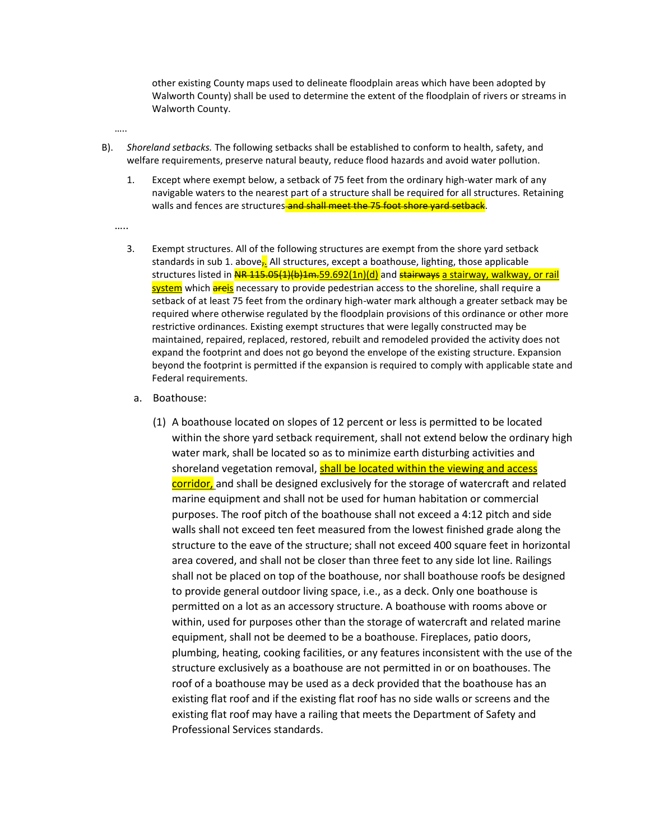other existing County maps used to delineate floodplain areas which have been adopted by Walworth County) shall be used to determine the extent of the floodplain of rivers or streams in Walworth County.

- …..
- B). *Shoreland setbacks.* The following setbacks shall be established to conform to health, safety, and welfare requirements, preserve natural beauty, reduce flood hazards and avoid water pollution.
	- 1. Except where exempt below, a setback of 75 feet from the ordinary high-water mark of any navigable waters to the nearest part of a structure shall be required for all structures. Retaining walls and fences are structures and shall meet the 75 foot shore yard setback.
	- ……
		- 3. Exempt structures. All of the following structures are exempt from the shore yard setback standards in sub 1. above $\frac{1}{2}$ . All structures, except a boathouse, lighting, those applicable structures listed in NR 115.05(1)(b)1m.59.692(1n)(d) and stairways a stairway, walkway, or rail system which **areis** necessary to provide pedestrian access to the shoreline, shall require a setback of at least 75 feet from the ordinary high-water mark although a greater setback may be required where otherwise regulated by the floodplain provisions of this ordinance or other more restrictive ordinances. Existing exempt structures that were legally constructed may be maintained, repaired, replaced, restored, rebuilt and remodeled provided the activity does not expand the footprint and does not go beyond the envelope of the existing structure. Expansion beyond the footprint is permitted if the expansion is required to comply with applicable state and Federal requirements.
			- a. Boathouse:
				- (1) A boathouse located on slopes of 12 percent or less is permitted to be located within the shore yard setback requirement, shall not extend below the ordinary high water mark, shall be located so as to minimize earth disturbing activities and shoreland vegetation removal, shall be located within the viewing and access corridor, and shall be designed exclusively for the storage of watercraft and related marine equipment and shall not be used for human habitation or commercial purposes. The roof pitch of the boathouse shall not exceed a 4:12 pitch and side walls shall not exceed ten feet measured from the lowest finished grade along the structure to the eave of the structure; shall not exceed 400 square feet in horizontal area covered, and shall not be closer than three feet to any side lot line. Railings shall not be placed on top of the boathouse, nor shall boathouse roofs be designed to provide general outdoor living space, i.e., as a deck. Only one boathouse is permitted on a lot as an accessory structure. A boathouse with rooms above or within, used for purposes other than the storage of watercraft and related marine equipment, shall not be deemed to be a boathouse. Fireplaces, patio doors, plumbing, heating, cooking facilities, or any features inconsistent with the use of the structure exclusively as a boathouse are not permitted in or on boathouses. The roof of a boathouse may be used as a deck provided that the boathouse has an existing flat roof and if the existing flat roof has no side walls or screens and the existing flat roof may have a railing that meets the Department of Safety and Professional Services standards.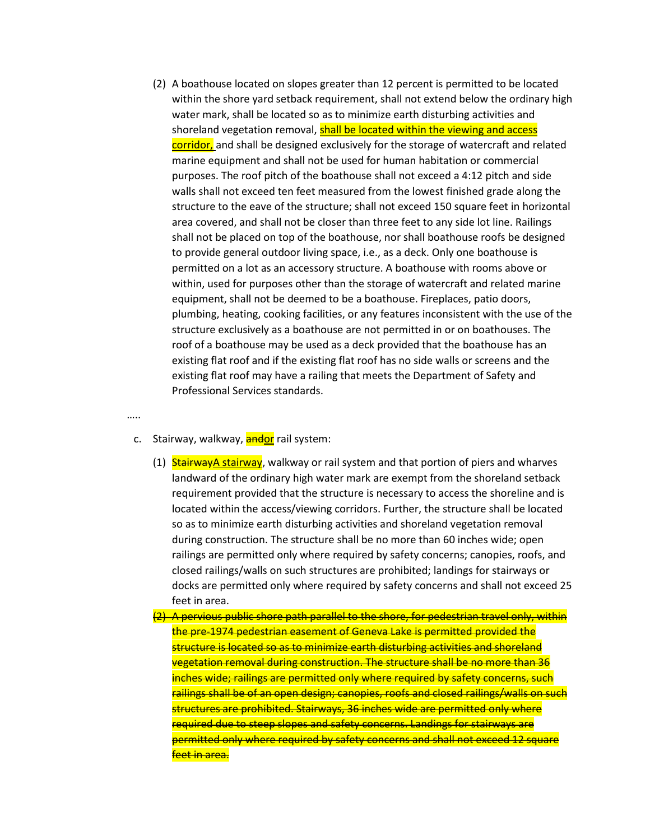- (2) A boathouse located on slopes greater than 12 percent is permitted to be located within the shore yard setback requirement, shall not extend below the ordinary high water mark, shall be located so as to minimize earth disturbing activities and shoreland vegetation removal, shall be located within the viewing and access corridor, and shall be designed exclusively for the storage of watercraft and related marine equipment and shall not be used for human habitation or commercial purposes. The roof pitch of the boathouse shall not exceed a 4:12 pitch and side walls shall not exceed ten feet measured from the lowest finished grade along the structure to the eave of the structure; shall not exceed 150 square feet in horizontal area covered, and shall not be closer than three feet to any side lot line. Railings shall not be placed on top of the boathouse, nor shall boathouse roofs be designed to provide general outdoor living space, i.e., as a deck. Only one boathouse is permitted on a lot as an accessory structure. A boathouse with rooms above or within, used for purposes other than the storage of watercraft and related marine equipment, shall not be deemed to be a boathouse. Fireplaces, patio doors, plumbing, heating, cooking facilities, or any features inconsistent with the use of the structure exclusively as a boathouse are not permitted in or on boathouses. The roof of a boathouse may be used as a deck provided that the boathouse has an existing flat roof and if the existing flat roof has no side walls or screens and the existing flat roof may have a railing that meets the Department of Safety and Professional Services standards.
- …..
	- c. Stairway, walkway, **andor** rail system:
		- (1) StairwayA stairway, walkway or rail system and that portion of piers and wharves landward of the ordinary high water mark are exempt from the shoreland setback requirement provided that the structure is necessary to access the shoreline and is located within the access/viewing corridors. Further, the structure shall be located so as to minimize earth disturbing activities and shoreland vegetation removal during construction. The structure shall be no more than 60 inches wide; open railings are permitted only where required by safety concerns; canopies, roofs, and closed railings/walls on such structures are prohibited; landings for stairways or docks are permitted only where required by safety concerns and shall not exceed 25 feet in area.
		- (2) A pervious public shore path parallel to the shore, for pedestrian travel only, within the pre-1974 pedestrian easement of Geneva Lake is permitted provided the structure is located so as to minimize earth disturbing activities and shoreland vegetation removal during construction. The structure shall be no more than 36 inches wide; railings are permitted only where required by safety concerns, such railings shall be of an open design; canopies, roofs and closed railings/walls on such structures are prohibited. Stairways, 36 inches wide are permitted only where required due to steep slopes and safety concerns. Landings for stairways are permitted only where required by safety concerns and shall not exceed 12 square feet in area.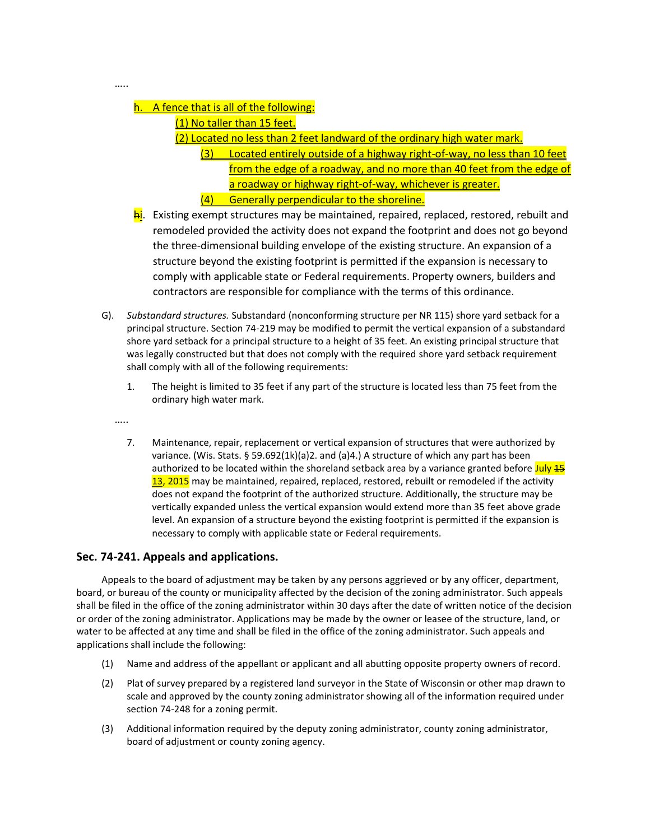## h. A fence that is all of the following:

(1) No taller than 15 feet.

- (2) Located no less than 2 feet landward of the ordinary high water mark.
	- (3) Located entirely outside of a highway right-of-way, no less than 10 feet from the edge of a roadway, and no more than 40 feet from the edge of a roadway or highway right-of-way, whichever is greater.
	- (4) Generally perpendicular to the shoreline.
- hi. Existing exempt structures may be maintained, repaired, replaced, restored, rebuilt and remodeled provided the activity does not expand the footprint and does not go beyond the three-dimensional building envelope of the existing structure. An expansion of a structure beyond the existing footprint is permitted if the expansion is necessary to comply with applicable state or Federal requirements. Property owners, builders and contractors are responsible for compliance with the terms of this ordinance.
- G). *Substandard structures.* Substandard (nonconforming structure per NR 115) shore yard setback for a principal structure. Section 74-219 may be modified to permit the vertical expansion of a substandard shore yard setback for a principal structure to a height of 35 feet. An existing principal structure that was legally constructed but that does not comply with the required shore yard setback requirement shall comply with all of the following requirements:
	- 1. The height is limited to 35 feet if any part of the structure is located less than 75 feet from the ordinary high water mark.
	- …..

…..

7. Maintenance, repair, replacement or vertical expansion of structures that were authorized by variance. (Wis. Stats. § 59.692(1k)(a)2. and (a)4.) A structure of which any part has been authorized to be located within the shoreland setback area by a variance granted before July 15 13, 2015 may be maintained, repaired, replaced, restored, rebuilt or remodeled if the activity does not expand the footprint of the authorized structure. Additionally, the structure may be vertically expanded unless the vertical expansion would extend more than 35 feet above grade level. An expansion of a structure beyond the existing footprint is permitted if the expansion is necessary to comply with applicable state or Federal requirements.

## **Sec. 74-241. Appeals and applications.**

Appeals to the board of adjustment may be taken by any persons aggrieved or by any officer, department, board, or bureau of the county or municipality affected by the decision of the zoning administrator. Such appeals shall be filed in the office of the zoning administrator within 30 days after the date of written notice of the decision or order of the zoning administrator. Applications may be made by the owner or leasee of the structure, land, or water to be affected at any time and shall be filed in the office of the zoning administrator. Such appeals and applications shall include the following:

- (1) Name and address of the appellant or applicant and all abutting opposite property owners of record.
- (2) Plat of survey prepared by a registered land surveyor in the State of Wisconsin or other map drawn to scale and approved by the county zoning administrator showing all of the information required under section 74-248 for a zoning permit.
- (3) Additional information required by the deputy zoning administrator, county zoning administrator, board of adjustment or county zoning agency.